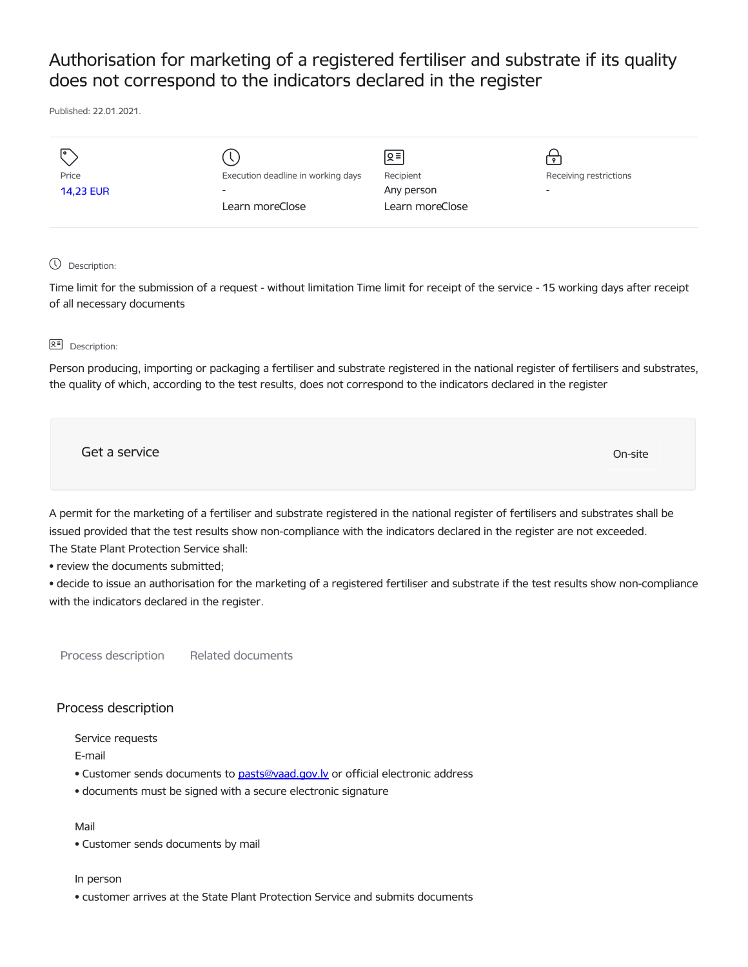# Authorisation for marketing of a registered fertiliser and substrate if its quality does not correspond to the indicators declared in the register

Published: 22.01.2021.

| I۰               |                                    | [হ≣             |                        |
|------------------|------------------------------------|-----------------|------------------------|
| Price            | Execution deadline in working days | Recipient       | Receiving restrictions |
| <b>14,23 EUR</b> | $\overline{\phantom{0}}$           | Any person      | -                      |
|                  | Learn moreClose                    | Learn moreClose |                        |
|                  |                                    |                 |                        |

### Description:

Time limit for the submission of a request - without limitation Time limit for receipt of the service - 15 working days after receipt of all necessary documents

### **B<sub>E</sub>** Description:

Person producing, importing or packaging a fertiliser and substrate registered in the national register of fertilisers and substrates, the quality of which, according to the test results, does not correspond to the indicators declared in the register

Get a service only a structure of the contract of the contract of the contract of the contract of the contract of the contract of the contract of the contract of the contract of the contract of the contract of the contract

A permit for the marketing of a fertiliser and substrate registered in the national register of fertilisers and substrates shall be issued provided that the test results show non-compliance with the indicators declared in the register are not exceeded. The State Plant Protection Service shall:

• review the documents submitted;

• decide to issue an authorisation for the marketing of a registered fertiliser and substrate if the test results show non-compliance with the indicators declared in the register.

Process description Related documents

## Process description

Service requests

E-mail

- Customer sends documents to [pasts@vaad.gov.lv](mailto:pasts@vaad.gov.lv) or official electronic address
- documents must be signed with a secure electronic signature

## Mail

• Customer sends documents by mail

#### In person

• customer arrives at the State Plant Protection Service and submits documents